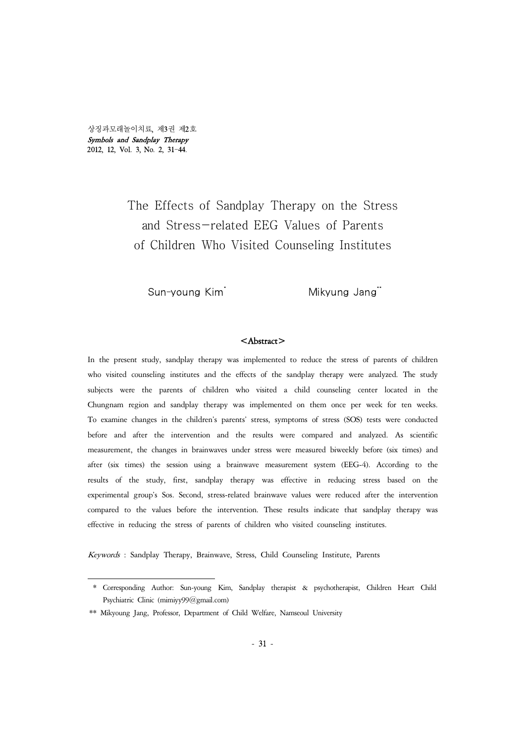상징과모래놀이치료, 제3권 제2호 Symbols and Sandplay Therapy 2012, 12, Vol. 3, No. 2, 31-44.

# The Effects of Sandplay Therapy on the Stress and Stress-related EEG Values of Parents of Children Who Visited Counseling Institutes

Sun-young Kim<sup>\*</sup> Mikyung Jang<sup>\*\*</sup>

## <Abstract>

In the present study, sandplay therapy was implemented to reduce the stress of parents of children who visited counseling institutes and the effects of the sandplay therapy were analyzed. The study subjects were the parents of children who visited a child counseling center located in the Chungnam region and sandplay therapy was implemented on them once per week for ten weeks. To examine changes in the children's parents' stress, symptoms of stress (SOS) tests were conducted before and after the intervention and the results were compared and analyzed. As scientific measurement, the changes in brainwaves under stress were measured biweekly before (six times) and after (six times) the session using a brainwave measurement system (EEG-4). According to the results of the study, first, sandplay therapy was effective in reducing stress based on the experimental group's Sos. Second, stress-related brainwave values were reduced after the intervention compared to the values before the intervention. These results indicate that sandplay therapy was effective in reducing the stress of parents of children who visited counseling institutes.

Keywords : Sandplay Therapy, Brainwave, Stress, Child Counseling Institute, Parents

<sup>\*</sup> Corresponding Author: Sun-young Kim, Sandplay therapist & psychotherapist, Children Heart Child Psychiatric Clinic (mimiyy99@gmail.com)

<sup>\*\*</sup> Mikyoung Jang, Professor, Department of Child Welfare, Namseoul University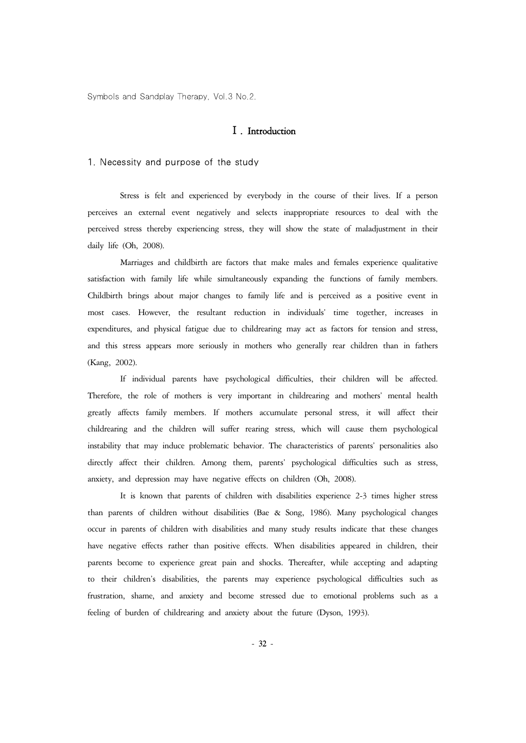## Ⅰ. Introduction

1. Necessity and purpose of the study

Stress is felt and experienced by everybody in the course of their lives. If a person perceives an external event negatively and selects inappropriate resources to deal with the perceived stress thereby experiencing stress, they will show the state of maladjustment in their daily life (Oh, 2008).

Marriages and childbirth are factors that make males and females experience qualitative satisfaction with family life while simultaneously expanding the functions of family members. Childbirth brings about major changes to family life and is perceived as a positive event in most cases. However, the resultant reduction in individuals' time together, increases in expenditures, and physical fatigue due to childrearing may act as factors for tension and stress, and this stress appears more seriously in mothers who generally rear children than in fathers (Kang, 2002).

If individual parents have psychological difficulties, their children will be affected. Therefore, the role of mothers is very important in childrearing and mothers' mental health greatly affects family members. If mothers accumulate personal stress, it will affect their childrearing and the children will suffer rearing stress, which will cause them psychological instability that may induce problematic behavior. The characteristics of parents' personalities also directly affect their children. Among them, parents' psychological difficulties such as stress, anxiety, and depression may have negative effects on children (Oh, 2008).

It is known that parents of children with disabilities experience 2-3 times higher stress than parents of children without disabilities (Bae & Song, 1986). Many psychological changes occur in parents of children with disabilities and many study results indicate that these changes have negative effects rather than positive effects. When disabilities appeared in children, their parents become to experience great pain and shocks. Thereafter, while accepting and adapting to their children's disabilities, the parents may experience psychological difficulties such as frustration, shame, and anxiety and become stressed due to emotional problems such as a feeling of burden of childrearing and anxiety about the future (Dyson, 1993).

- 32 -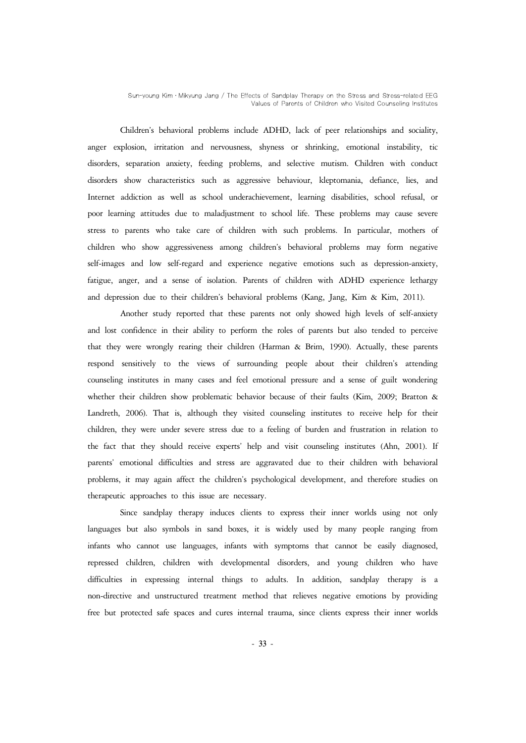Sun-young Kim․Mikyung Jang / The Effects of Sandplay Therapy on the Stress and Stress-related EEG Values of Parents of Children who Visited Counseling Institutes

Children's behavioral problems include ADHD, lack of peer relationships and sociality, anger explosion, irritation and nervousness, shyness or shrinking, emotional instability, tic disorders, separation anxiety, feeding problems, and selective mutism. Children with conduct disorders show characteristics such as aggressive behaviour, kleptomania, defiance, lies, and Internet addiction as well as school underachievement, learning disabilities, school refusal, or poor learning attitudes due to maladjustment to school life. These problems may cause severe stress to parents who take care of children with such problems. In particular, mothers of children who show aggressiveness among children's behavioral problems may form negative self-images and low self-regard and experience negative emotions such as depression-anxiety, fatigue, anger, and a sense of isolation. Parents of children with ADHD experience lethargy and depression due to their children's behavioral problems (Kang, Jang, Kim & Kim, 2011).

Another study reported that these parents not only showed high levels of self-anxiety and lost confidence in their ability to perform the roles of parents but also tended to perceive that they were wrongly rearing their children (Harman & Brim, 1990). Actually, these parents respond sensitively to the views of surrounding people about their children's attending counseling institutes in many cases and feel emotional pressure and a sense of guilt wondering whether their children show problematic behavior because of their faults (Kim, 2009; Bratton & Landreth, 2006). That is, although they visited counseling institutes to receive help for their children, they were under severe stress due to a feeling of burden and frustration in relation to the fact that they should receive experts' help and visit counseling institutes (Ahn, 2001). If parents' emotional difficulties and stress are aggravated due to their children with behavioral problems, it may again affect the children's psychological development, and therefore studies on therapeutic approaches to this issue are necessary.

Since sandplay therapy induces clients to express their inner worlds using not only languages but also symbols in sand boxes, it is widely used by many people ranging from infants who cannot use languages, infants with symptoms that cannot be easily diagnosed, repressed children, children with developmental disorders, and young children who have difficulties in expressing internal things to adults. In addition, sandplay therapy is a non-directive and unstructured treatment method that relieves negative emotions by providing free but protected safe spaces and cures internal trauma, since clients express their inner worlds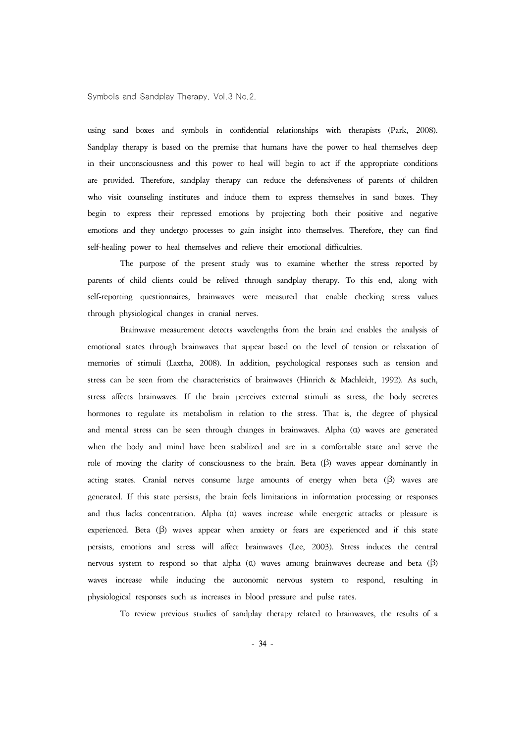using sand boxes and symbols in confidential relationships with therapists (Park, 2008). Sandplay therapy is based on the premise that humans have the power to heal themselves deep in their unconsciousness and this power to heal will begin to act if the appropriate conditions are provided. Therefore, sandplay therapy can reduce the defensiveness of parents of children who visit counseling institutes and induce them to express themselves in sand boxes. They begin to express their repressed emotions by projecting both their positive and negative emotions and they undergo processes to gain insight into themselves. Therefore, they can find self-healing power to heal themselves and relieve their emotional difficulties.

The purpose of the present study was to examine whether the stress reported by parents of child clients could be relived through sandplay therapy. To this end, along with self-reporting questionnaires, brainwaves were measured that enable checking stress values through physiological changes in cranial nerves.

Brainwave measurement detects wavelengths from the brain and enables the analysis of emotional states through brainwaves that appear based on the level of tension or relaxation of memories of stimuli (Laxtha, 2008). In addition, psychological responses such as tension and stress can be seen from the characteristics of brainwaves (Hinrich & Machleidt, 1992). As such, stress affects brainwaves. If the brain perceives external stimuli as stress, the body secretes hormones to regulate its metabolism in relation to the stress. That is, the degree of physical and mental stress can be seen through changes in brainwaves. Alpha (α) waves are generated when the body and mind have been stabilized and are in a comfortable state and serve the role of moving the clarity of consciousness to the brain. Beta  $(\beta)$  waves appear dominantly in acting states. Cranial nerves consume large amounts of energy when beta (<sup>β</sup>) waves are generated. If this state persists, the brain feels limitations in information processing or responses and thus lacks concentration. Alpha (α) waves increase while energetic attacks or pleasure is experienced. Beta (β) waves appear when anxiety or fears are experienced and if this state persists, emotions and stress will affect brainwaves (Lee, 2003). Stress induces the central nervous system to respond so that alpha (α) waves among brainwaves decrease and beta (β) waves increase while inducing the autonomic nervous system to respond, resulting in physiological responses such as increases in blood pressure and pulse rates.

To review previous studies of sandplay therapy related to brainwaves, the results of a

- 34 -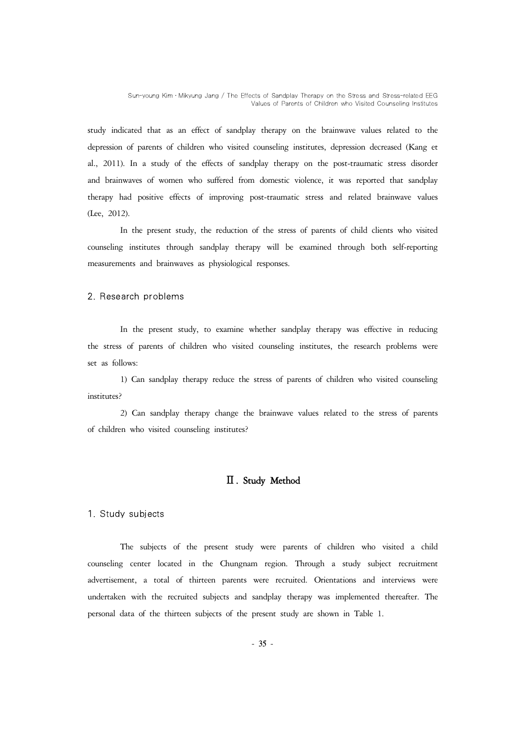study indicated that as an effect of sandplay therapy on the brainwave values related to the depression of parents of children who visited counseling institutes, depression decreased (Kang et al., 2011). In a study of the effects of sandplay therapy on the post-traumatic stress disorder and brainwaves of women who suffered from domestic violence, it was reported that sandplay therapy had positive effects of improving post-traumatic stress and related brainwave values (Lee, 2012).

In the present study, the reduction of the stress of parents of child clients who visited counseling institutes through sandplay therapy will be examined through both self-reporting measurements and brainwaves as physiological responses.

#### 2. Research problems

In the present study, to examine whether sandplay therapy was effective in reducing the stress of parents of children who visited counseling institutes, the research problems were set as follows:

1) Can sandplay therapy reduce the stress of parents of children who visited counseling institutes?

2) Can sandplay therapy change the brainwave values related to the stress of parents of children who visited counseling institutes?

## Ⅱ. Study Method

## 1. Study subjects

The subjects of the present study were parents of children who visited a child counseling center located in the Chungnam region. Through a study subject recruitment advertisement, a total of thirteen parents were recruited. Orientations and interviews were undertaken with the recruited subjects and sandplay therapy was implemented thereafter. The personal data of the thirteen subjects of the present study are shown in Table 1.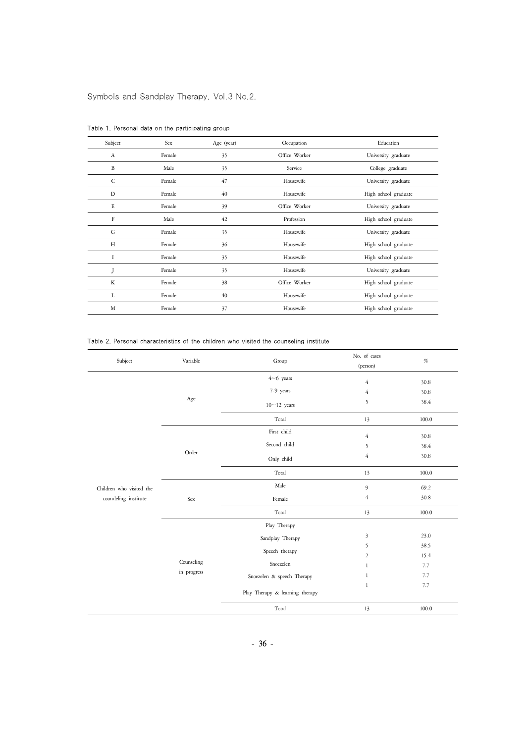| Subject      | Sex    | Age (year) | Occupation    | Education            |
|--------------|--------|------------|---------------|----------------------|
| $\Lambda$    | Female | 35         | Office Worker | University graduate  |
| B            | Male   | 35         | Service       | College graduate     |
| $\mathsf{C}$ | Female | 47         | Housewife     | University graduate  |
| D            | Female | 40         | Housewife     | High school graduate |
| E            | Female | 39         | Office Worker | University graduate  |
| F            | Male   | 42         | Profession    | High school graduate |
| G            | Female | 35         | Housewife     | University graduate  |
| H            | Female | 36         | Housewife     | High school graduate |
| Ĭ            | Female | 35         | Housewife     | High school graduate |
|              | Female | 35         | Housewife     | University graduate  |
| K            | Female | 38         | Office Worker | High school graduate |
| L            | Female | 40         | Housewife     | High school graduate |
| M            | Female | 37         | Housewife     | High school graduate |

Table 1. Personal data on the participating group

Table 2. Personal characteristics of the children who visited the counseling institute

| Subject                  | Variable                  | Group                           | No. of cases<br>(person) | $\%$  |
|--------------------------|---------------------------|---------------------------------|--------------------------|-------|
|                          |                           | $4~6$ years                     | $\overline{4}$           | 30.8  |
|                          | Age                       | 7-9 years                       | $\overline{4}$           | 30.8  |
|                          |                           | $10~12$ years                   | 5                        | 38.4  |
|                          |                           | Total                           | 13                       | 100.0 |
|                          |                           | First child                     | $\overline{4}$           | 30.8  |
|                          |                           | Second child                    | 5                        | 38.4  |
|                          | Order                     | Only child                      | $\overline{4}$           | 30.8  |
|                          |                           | Total                           | 13                       | 100.0 |
| Children who visited the | Sex                       | Male                            | 9                        | 69.2  |
| coundeling institute     |                           | Female                          | $\overline{4}$           | 30.8  |
|                          |                           | Total                           | 13                       | 100.0 |
|                          | Counseling<br>in progress | Play Therapy                    |                          |       |
|                          |                           | Sandplay Therapy                | $\mathfrak{Z}$           | 23.0  |
|                          |                           | Speech therapy                  | 5                        | 38.5  |
|                          |                           |                                 | $\overline{2}$           | 15.4  |
|                          |                           | Snoezelen                       | $\mathbf{1}$             | 7.7   |
|                          |                           | Snoezelen & speech Therapy      | $\mathbf{1}$             | 7.7   |
|                          |                           | Play Therapy & learning therapy | $\mathbf{1}$             | 7.7   |
|                          |                           | Total                           | 13                       | 100.0 |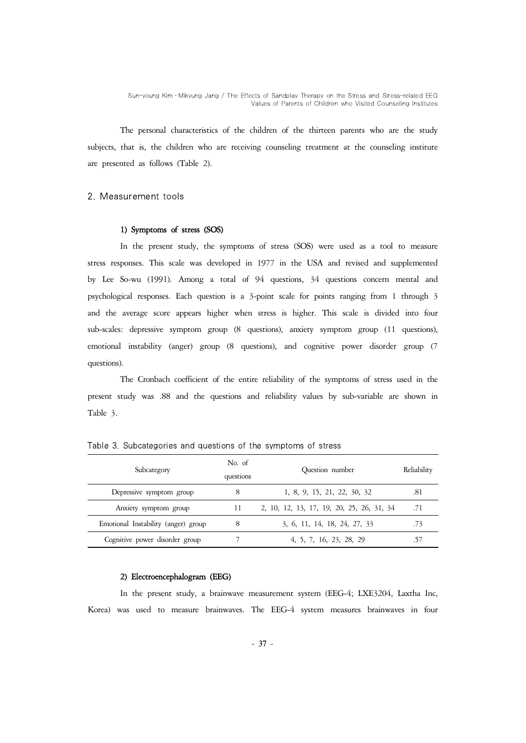The personal characteristics of the children of the thirteen parents who are the study subjects, that is, the children who are receiving counseling treatment at the counseling institute are presented as follows (Table 2).

## 2. Measurement tools

#### 1) Symptoms of stress (SOS)

In the present study, the symptoms of stress (SOS) were used as a tool to measure stress responses. This scale was developed in 1977 in the USA and revised and supplemented by Lee So-wu (1991). Among a total of 94 questions, 34 questions concern mental and psychological responses. Each question is a 3-point scale for points ranging from 1 through 3 and the average score appears higher when stress is higher. This scale is divided into four sub-scales: depressive symptom group (8 questions), anxiety symptom group (11 questions), emotional instability (anger) group (8 questions), and cognitive power disorder group (7 questions).

The Cronbach coefficient of the entire reliability of the symptoms of stress used in the present study was .88 and the questions and reliability values by sub-variable are shown in Table 3.

| Subcategory                         | No. of<br>questions | Ouestion number                           | Reliability |
|-------------------------------------|---------------------|-------------------------------------------|-------------|
| Depressive symptom group            | 8                   | 1, 8, 9, 15, 21, 22, 30, 32               | .81         |
| Anxiety symptom group               | 11                  | 2, 10, 12, 13, 17, 19, 20, 25, 26, 31, 34 | .71         |
| Emotional Instability (anger) group | 8                   | 3, 6, 11, 14, 18, 24, 27, 33              | .73         |
| Cognitive power disorder group      |                     | 4, 5, 7, 16, 23, 28, 29                   |             |

Table 3. Subcategories and questions of the symptoms of stress

## 2) Electroencephalogram (EEG)

In the present study, a brainwave measurement system (EEG-4; LXE3204, Laxtha Inc, Korea) was used to measure brainwaves. The EEG-4 system measures brainwaves in four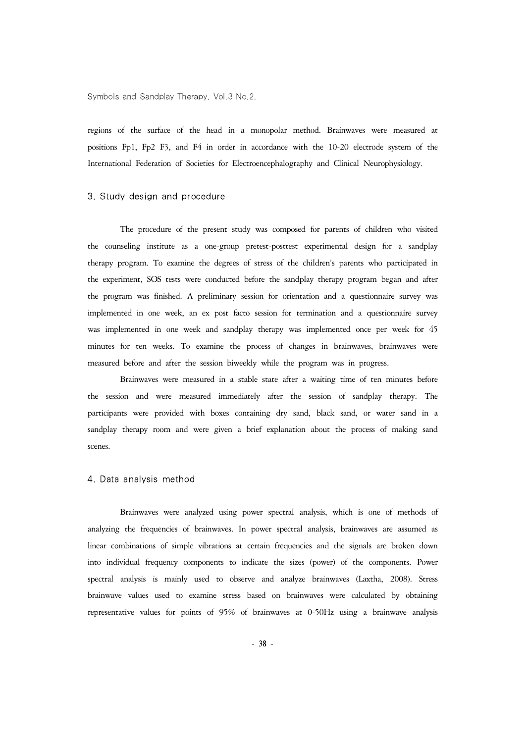regions of the surface of the head in a monopolar method. Brainwaves were measured at positions Fp1, Fp2 F3, and F4 in order in accordance with the 10-20 electrode system of the International Federation of Societies for Electroencephalography and Clinical Neurophysiology.

## 3. Study design and procedure

The procedure of the present study was composed for parents of children who visited the counseling institute as a one-group pretest-posttest experimental design for a sandplay therapy program. To examine the degrees of stress of the children's parents who participated in the experiment, SOS tests were conducted before the sandplay therapy program began and after the program was finished. A preliminary session for orientation and a questionnaire survey was implemented in one week, an ex post facto session for termination and a questionnaire survey was implemented in one week and sandplay therapy was implemented once per week for 45 minutes for ten weeks. To examine the process of changes in brainwaves, brainwaves were measured before and after the session biweekly while the program was in progress.

Brainwaves were measured in a stable state after a waiting time of ten minutes before the session and were measured immediately after the session of sandplay therapy. The participants were provided with boxes containing dry sand, black sand, or water sand in a sandplay therapy room and were given a brief explanation about the process of making sand scenes.

#### 4. Data analysis method

Brainwaves were analyzed using power spectral analysis, which is one of methods of analyzing the frequencies of brainwaves. In power spectral analysis, brainwaves are assumed as linear combinations of simple vibrations at certain frequencies and the signals are broken down into individual frequency components to indicate the sizes (power) of the components. Power spectral analysis is mainly used to observe and analyze brainwaves (Laxtha, 2008). Stress brainwave values used to examine stress based on brainwaves were calculated by obtaining representative values for points of 95% of brainwaves at 0-50Hz using a brainwave analysis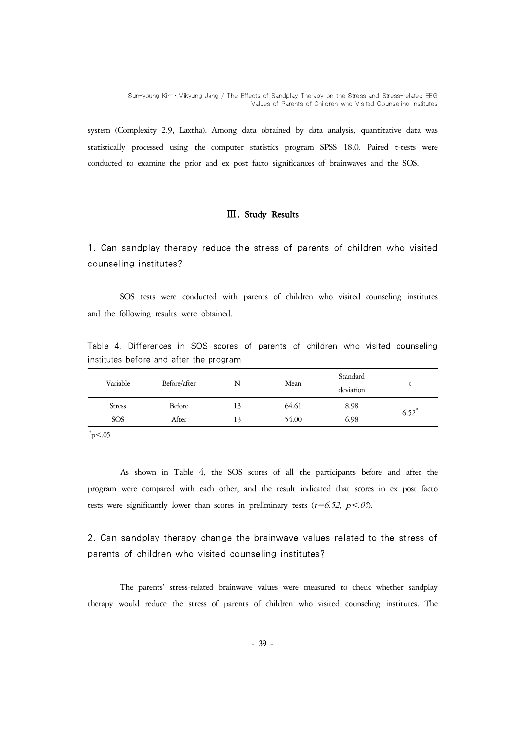system (Complexity 2.9, Laxtha). Among data obtained by data analysis, quantitative data was statistically processed using the computer statistics program SPSS 18.0. Paired t-tests were conducted to examine the prior and ex post facto significances of brainwaves and the SOS.

## Ⅲ. Study Results

1. Can sandplay therapy reduce the stress of parents of children who visited counseling institutes?

SOS tests were conducted with parents of children who visited counseling institutes and the following results were obtained.

Table 4. Differences in SOS scores of parents of children who visited counseling institutes before and after the program

| Variable      | Before/after  | N  | Mean  | Standard<br>deviation |                     |
|---------------|---------------|----|-------|-----------------------|---------------------|
| <b>Stress</b> | <b>Before</b> | 13 | 64.61 | 8.98                  | $6.52$ <sup>*</sup> |
| <b>SOS</b>    | After         | 13 | 54.00 | 6.98                  |                     |

 $p$  <.05

As shown in Table 4, the SOS scores of all the participants before and after the program were compared with each other, and the result indicated that scores in ex post facto tests were significantly lower than scores in preliminary tests ( $t=6.52$ ,  $p<.05$ ).

2. Can sandplay therapy change the brainwave values related to the stress of parents of children who visited counseling institutes?

The parents' stress-related brainwave values were measured to check whether sandplay therapy would reduce the stress of parents of children who visited counseling institutes. The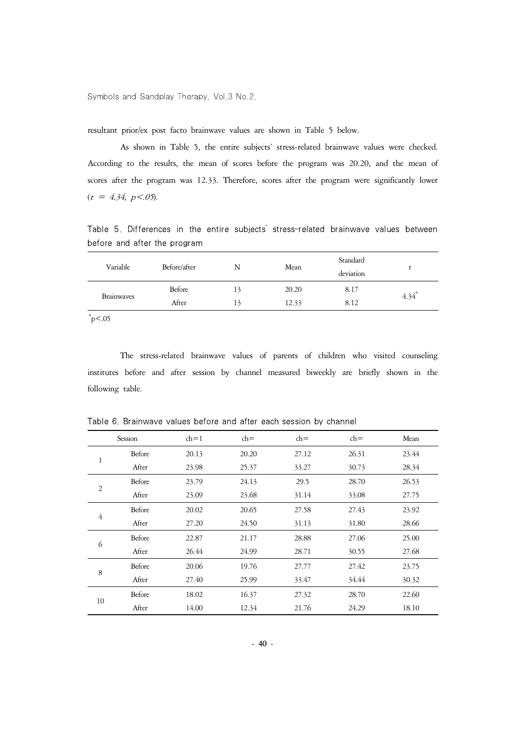resultant prior/ex post facto brainwave values are shown in Table 5 below.

As shown in Table 5, the entire subjects' stress-related brainwave values were checked. According to the results, the mean of scores before the program was 20.20, and the mean of scores after the program was 12.33. Therefore, scores after the program were significantly lower  $(t = 4.34, p < 0.05)$ .

Table 5. Differences in the entire subjects' stress-related brainwave values between before and after the program

| Variable          | Before/after | N  | Mean  | Standard<br>deviation |                     |
|-------------------|--------------|----|-------|-----------------------|---------------------|
|                   | Before       | 13 | 20.20 | 8.17                  | $4.34$ <sup>*</sup> |
| <b>Brainwaves</b> | After        | 13 | 12.33 | 8.12                  |                     |
|                   |              |    |       |                       |                     |

 $p$  <.05

The stress-related brainwave values of parents of children who visited counseling institutes before and after session by channel measured biweekly are briefly shown in the following table.

|                | Session | $\text{ch}=1$ | $ch =$ | $ch =$ | $ch =$ | Mean  |
|----------------|---------|---------------|--------|--------|--------|-------|
| 1              | Before  | 20.13         | 20.20  | 27.12  | 26.31  | 23.44 |
|                | After   | 23.98         | 25.37  | 33.27  | 30.73  | 28.34 |
| $\overline{2}$ | Before  | 23.79         | 24.13  | 29.5   | 28.70  | 26.53 |
|                | After   | 23.09         | 23.68  | 31.14  | 33.08  | 27.75 |
| $\overline{4}$ | Before  | 20.02         | 20.65  | 27.58  | 27.43  | 23.92 |
|                | After   | 27.20         | 24.50  | 31.13  | 31.80  | 28.66 |
| 6              | Before  | 22.87         | 21.17  | 28.88  | 27.06  | 25.00 |
|                | After   | 26.44         | 24.99  | 28.71  | 30.55  | 27.68 |
| 8              | Before  | 20.06         | 19.76  | 27.77  | 27.42  | 23.75 |
|                | After   | 27.40         | 25.99  | 33.47  | 34.44  | 30.32 |
| 10             | Before  | 18.02         | 16.37  | 27.32  | 28.70  | 22.60 |
|                | After   | 14.00         | 12.34  | 21.76  | 24.29  | 18.10 |

Table 6. Brainwave values before and after each session by channel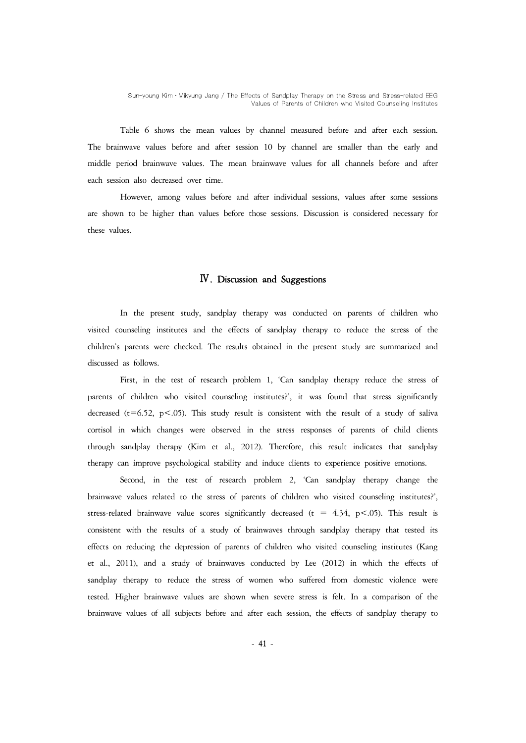Table 6 shows the mean values by channel measured before and after each session. The brainwave values before and after session 10 by channel are smaller than the early and middle period brainwave values. The mean brainwave values for all channels before and after each session also decreased over time.

However, among values before and after individual sessions, values after some sessions are shown to be higher than values before those sessions. Discussion is considered necessary for these values.

## Ⅳ. Discussion and Suggestions

In the present study, sandplay therapy was conducted on parents of children who visited counseling institutes and the effects of sandplay therapy to reduce the stress of the children's parents were checked. The results obtained in the present study are summarized and discussed as follows.

First, in the test of research problem 1, 'Can sandplay therapy reduce the stress of parents of children who visited counseling institutes?', it was found that stress significantly decreased ( $t=6.52$ ,  $p<05$ ). This study result is consistent with the result of a study of saliva cortisol in which changes were observed in the stress responses of parents of child clients through sandplay therapy (Kim et al., 2012). Therefore, this result indicates that sandplay therapy can improve psychological stability and induce clients to experience positive emotions.

Second, in the test of research problem 2, 'Can sandplay therapy change the brainwave values related to the stress of parents of children who visited counseling institutes?', stress-related brainwave value scores significantly decreased ( $t = 4.34$ ,  $p < .05$ ). This result is consistent with the results of a study of brainwaves through sandplay therapy that tested its effects on reducing the depression of parents of children who visited counseling institutes (Kang et al., 2011), and a study of brainwaves conducted by Lee (2012) in which the effects of sandplay therapy to reduce the stress of women who suffered from domestic violence were tested. Higher brainwave values are shown when severe stress is felt. In a comparison of the brainwave values of all subjects before and after each session, the effects of sandplay therapy to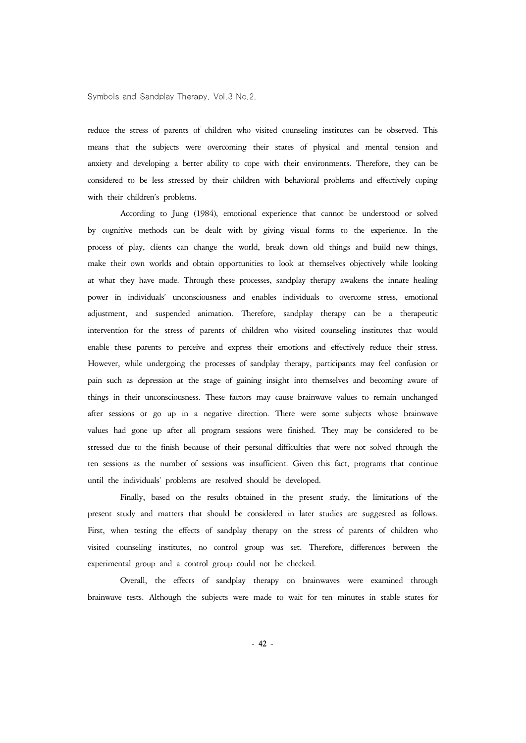reduce the stress of parents of children who visited counseling institutes can be observed. This means that the subjects were overcoming their states of physical and mental tension and anxiety and developing a better ability to cope with their environments. Therefore, they can be considered to be less stressed by their children with behavioral problems and effectively coping with their children's problems.

According to Jung (1984), emotional experience that cannot be understood or solved by cognitive methods can be dealt with by giving visual forms to the experience. In the process of play, clients can change the world, break down old things and build new things, make their own worlds and obtain opportunities to look at themselves objectively while looking at what they have made. Through these processes, sandplay therapy awakens the innate healing power in individuals' unconsciousness and enables individuals to overcome stress, emotional adjustment, and suspended animation. Therefore, sandplay therapy can be a therapeutic intervention for the stress of parents of children who visited counseling institutes that would enable these parents to perceive and express their emotions and effectively reduce their stress. However, while undergoing the processes of sandplay therapy, participants may feel confusion or pain such as depression at the stage of gaining insight into themselves and becoming aware of things in their unconsciousness. These factors may cause brainwave values to remain unchanged after sessions or go up in a negative direction. There were some subjects whose brainwave values had gone up after all program sessions were finished. They may be considered to be stressed due to the finish because of their personal difficulties that were not solved through the ten sessions as the number of sessions was insufficient. Given this fact, programs that continue until the individuals' problems are resolved should be developed.

Finally, based on the results obtained in the present study, the limitations of the present study and matters that should be considered in later studies are suggested as follows. First, when testing the effects of sandplay therapy on the stress of parents of children who visited counseling institutes, no control group was set. Therefore, differences between the experimental group and a control group could not be checked.

Overall, the effects of sandplay therapy on brainwaves were examined through brainwave tests. Although the subjects were made to wait for ten minutes in stable states for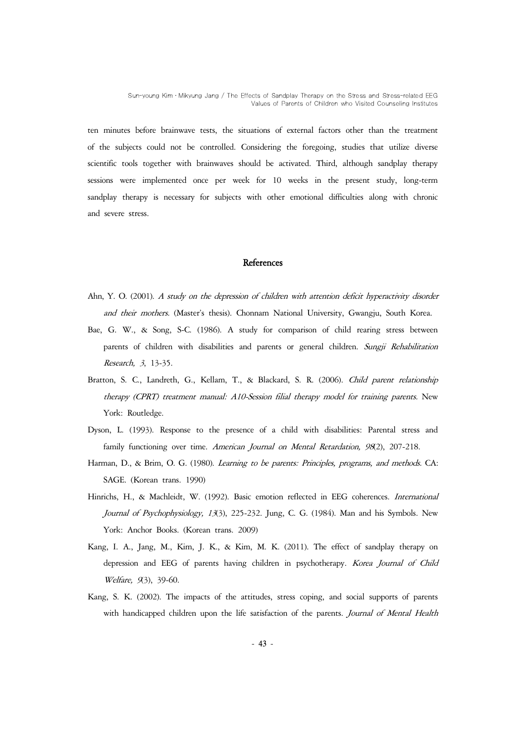ten minutes before brainwave tests, the situations of external factors other than the treatment of the subjects could not be controlled. Considering the foregoing, studies that utilize diverse scientific tools together with brainwaves should be activated. Third, although sandplay therapy sessions were implemented once per week for 10 weeks in the present study, long-term sandplay therapy is necessary for subjects with other emotional difficulties along with chronic and severe stress.

## **References**

- Ahn, Y. O. (2001). A study on the depression of children with attention deficit hyperactivity disorder and their mothers. (Master's thesis). Chonnam National University, Gwangju, South Korea.
- Bae, G. W., & Song, S-C. (1986). A study for comparison of child rearing stress between parents of children with disabilities and parents or general children. Sungji Rehabilitation Research, 3, 13-35.
- Bratton, S. C., Landreth, G., Kellam, T., & Blackard, S. R. (2006). Child parent relationship therapy (CPRT) treatment manual: A10-Session filial therapy model for training parents. New York: Routledge.
- Dyson, L. (1993). Response to the presence of a child with disabilities: Parental stress and family functioning over time. American Journal on Mental Retardation, 98(2), 207-218.
- Harman, D., & Brim, O. G. (1980). Learning to be parents: Principles, programs, and methods. CA: SAGE. (Korean trans. 1990)
- Hinrichs, H., & Machleidt, W. (1992). Basic emotion reflected in EEG coherences. International Journal of Psychophysiology, 13(3), 225-232. Jung, C. G. (1984). Man and his Symbols. New York: Anchor Books. (Korean trans. 2009)
- Kang, I. A., Jang, M., Kim, J. K., & Kim, M. K. (2011). The effect of sandplay therapy on depression and EEG of parents having children in psychotherapy. Korea Journal of Child Welfare, 9(3), 39-60.
- Kang, S. K. (2002). The impacts of the attitudes, stress coping, and social supports of parents with handicapped children upon the life satisfaction of the parents. Journal of Mental Health